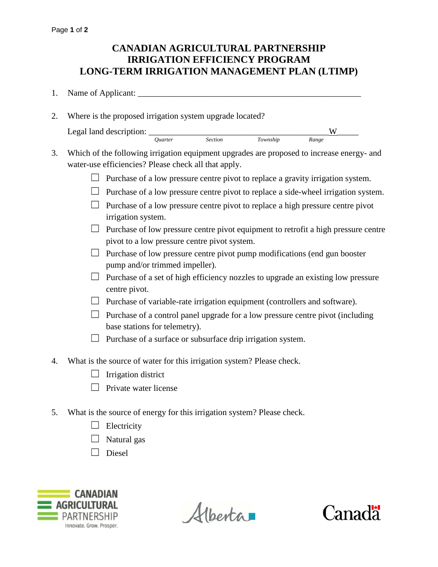## **CANADIAN AGRICULTURAL PARTNERSHIP IRRIGATION EFFICIENCY PROGRAM LONG-TERM IRRIGATION MANAGEMENT PLAN (LTIMP)**

- 1. Name of Applicant: \_\_\_\_\_\_\_\_\_\_\_\_\_\_\_\_\_\_\_\_\_\_\_\_\_\_\_\_\_\_\_\_\_\_\_\_\_\_\_\_\_\_\_\_\_\_\_\_\_\_\_\_
- 2. Where is the proposed irrigation system upgrade located? Legal land description:  $\frac{W}{\text{Quarter}}$  Section Township Range  $Township$
- 3. Which of the following irrigation equipment upgrades are proposed to increase energy- and water-use efficiencies? Please check all that apply.
	- $\Box$  Purchase of a low pressure centre pivot to replace a gravity irrigation system.
	- $\Box$  Purchase of a low pressure centre pivot to replace a side-wheel irrigation system.
	- $\Box$  Purchase of a low pressure centre pivot to replace a high pressure centre pivot irrigation system.
	- $\Box$  Purchase of low pressure centre pivot equipment to retrofit a high pressure centre pivot to a low pressure centre pivot system.
	- $\Box$  Purchase of low pressure centre pivot pump modifications (end gun booster pump and/or trimmed impeller).
	- $\Box$  Purchase of a set of high efficiency nozzles to upgrade an existing low pressure centre pivot.
	- $\Box$  Purchase of variable-rate irrigation equipment (controllers and software).
	- $\Box$  Purchase of a control panel upgrade for a low pressure centre pivot (including base stations for telemetry).
	- $\Box$  Purchase of a surface or subsurface drip irrigation system.
- 4. What is the source of water for this irrigation system? Please check.
	- $\Box$  Irrigation district
	- $\Box$  Private water license
- 5. What is the source of energy for this irrigation system? Please check.
	- $\Box$  Electricity
	- $\Box$  Natural gas
	- ☐ Diesel



Albertan